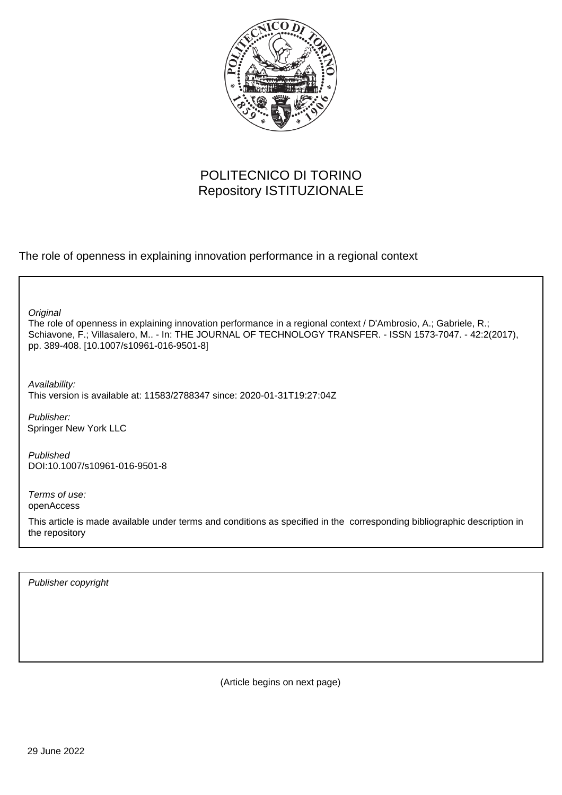

# POLITECNICO DI TORINO Repository ISTITUZIONALE

The role of openness in explaining innovation performance in a regional context

**Original** 

The role of openness in explaining innovation performance in a regional context / D'Ambrosio, A.; Gabriele, R.; Schiavone, F.; Villasalero, M.. - In: THE JOURNAL OF TECHNOLOGY TRANSFER. - ISSN 1573-7047. - 42:2(2017), pp. 389-408. [10.1007/s10961-016-9501-8]

Availability: This version is available at: 11583/2788347 since: 2020-01-31T19:27:04Z

Publisher: Springer New York LLC

Published DOI:10.1007/s10961-016-9501-8

Terms of use: openAccess

This article is made available under terms and conditions as specified in the corresponding bibliographic description in the repository

Publisher copyright

(Article begins on next page)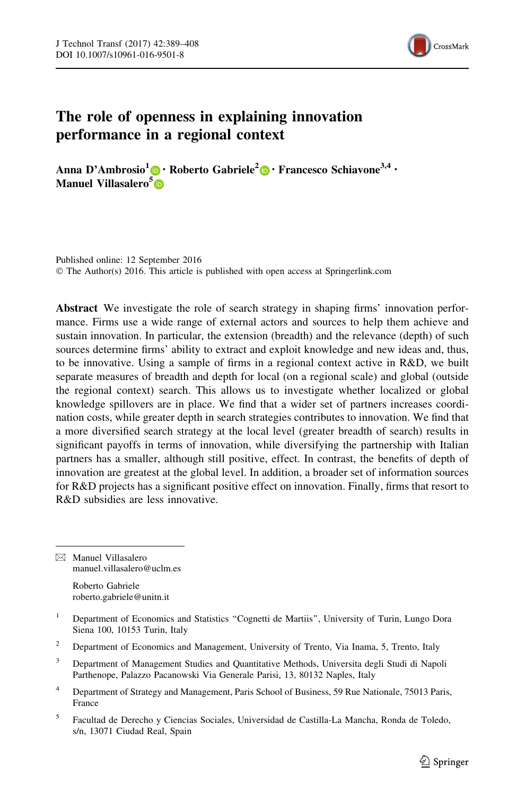

# The role of openness in explaining innovation performance in a regional context

Anna D'Ambrosio<sup>1</sup> <sup>O</sup> · Roberto Gabriele<sup>2</sup> <sup>O</sup> · Francesco Schiavone<sup>3,4</sup> · Manuel Villasalero<sup>[5](http://orcid.org/0000-0002-7946-7695)</sup>

Published online: 12 September 2016 © The Author(s) 2016. This article is published with open access at Springerlink.com

Abstract We investigate the role of search strategy in shaping firms' innovation performance. Firms use a wide range of external actors and sources to help them achieve and sustain innovation. In particular, the extension (breadth) and the relevance (depth) of such sources determine firms' ability to extract and exploit knowledge and new ideas and, thus, to be innovative. Using a sample of firms in a regional context active in R&D, we built separate measures of breadth and depth for local (on a regional scale) and global (outside the regional context) search. This allows us to investigate whether localized or global knowledge spillovers are in place. We find that a wider set of partners increases coordination costs, while greater depth in search strategies contributes to innovation. We find that a more diversified search strategy at the local level (greater breadth of search) results in significant payoffs in terms of innovation, while diversifying the partnership with Italian partners has a smaller, although still positive, effect. In contrast, the benefits of depth of innovation are greatest at the global level. In addition, a broader set of information sources for R&D projects has a significant positive effect on innovation. Finally, firms that resort to R&D subsidies are less innovative.

 $\boxtimes$  Manuel Villasalero manuel.villasalero@uclm.es

> Roberto Gabriele roberto.gabriele@unitn.it

- <sup>2</sup> Department of Economics and Management, University of Trento, Via Inama, 5, Trento, Italy
- <sup>3</sup> Department of Management Studies and Quantitative Methods, Universita degli Studi di Napoli Parthenope, Palazzo Pacanowski Via Generale Parisi, 13, 80132 Naples, Italy
- <sup>4</sup> Department of Strategy and Management, Paris School of Business, 59 Rue Nationale, 75013 Paris, France
- <sup>5</sup> Facultad de Derecho y Ciencias Sociales, Universidad de Castilla-La Mancha, Ronda de Toledo, s/n, 13071 Ciudad Real, Spain

<sup>&</sup>lt;sup>1</sup> Department of Economics and Statistics "Cognetti de Martiis", University of Turin, Lungo Dora Siena 100, 10153 Turin, Italy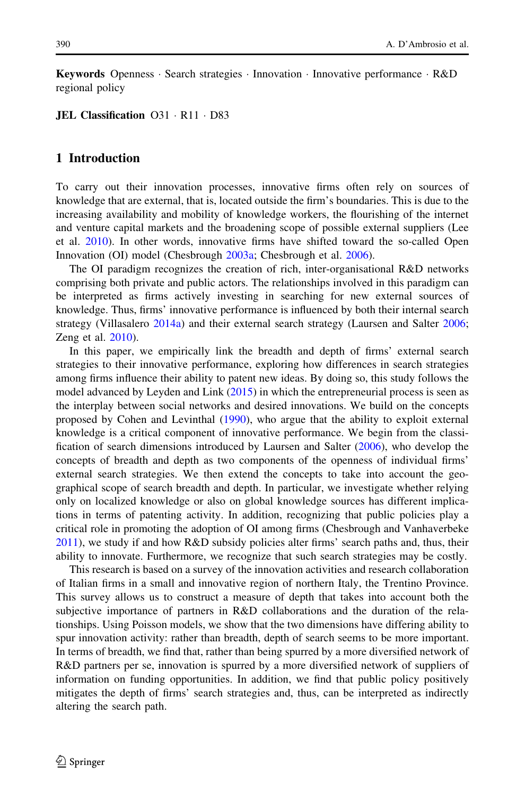Keywords Openness - Search strategies - Innovation - Innovative performance - R&D regional policy

JEL Classification O31 - R11 - D83

#### 1 Introduction

To carry out their innovation processes, innovative firms often rely on sources of knowledge that are external, that is, located outside the firm's boundaries. This is due to the increasing availability and mobility of knowledge workers, the flourishing of the internet and venture capital markets and the broadening scope of possible external suppliers (Lee et al. 2010). In other words, innovative firms have shifted toward the so-called Open Innovation (OI) model (Chesbrough 2003a; Chesbrough et al. 2006).

The OI paradigm recognizes the creation of rich, inter-organisational R&D networks comprising both private and public actors. The relationships involved in this paradigm can be interpreted as firms actively investing in searching for new external sources of knowledge. Thus, firms' innovative performance is influenced by both their internal search strategy (Villasalero 2014a) and their external search strategy (Laursen and Salter 2006; Zeng et al. 2010).

In this paper, we empirically link the breadth and depth of firms' external search strategies to their innovative performance, exploring how differences in search strategies among firms influence their ability to patent new ideas. By doing so, this study follows the model advanced by Leyden and Link (2015) in which the entrepreneurial process is seen as the interplay between social networks and desired innovations. We build on the concepts proposed by Cohen and Levinthal (1990), who argue that the ability to exploit external knowledge is a critical component of innovative performance. We begin from the classification of search dimensions introduced by Laursen and Salter (2006), who develop the concepts of breadth and depth as two components of the openness of individual firms' external search strategies. We then extend the concepts to take into account the geographical scope of search breadth and depth. In particular, we investigate whether relying only on localized knowledge or also on global knowledge sources has different implications in terms of patenting activity. In addition, recognizing that public policies play a critical role in promoting the adoption of OI among firms (Chesbrough and Vanhaverbeke 2011), we study if and how R&D subsidy policies alter firms' search paths and, thus, their ability to innovate. Furthermore, we recognize that such search strategies may be costly.

This research is based on a survey of the innovation activities and research collaboration of Italian firms in a small and innovative region of northern Italy, the Trentino Province. This survey allows us to construct a measure of depth that takes into account both the subjective importance of partners in R&D collaborations and the duration of the relationships. Using Poisson models, we show that the two dimensions have differing ability to spur innovation activity: rather than breadth, depth of search seems to be more important. In terms of breadth, we find that, rather than being spurred by a more diversified network of R&D partners per se, innovation is spurred by a more diversified network of suppliers of information on funding opportunities. In addition, we find that public policy positively mitigates the depth of firms' search strategies and, thus, can be interpreted as indirectly altering the search path.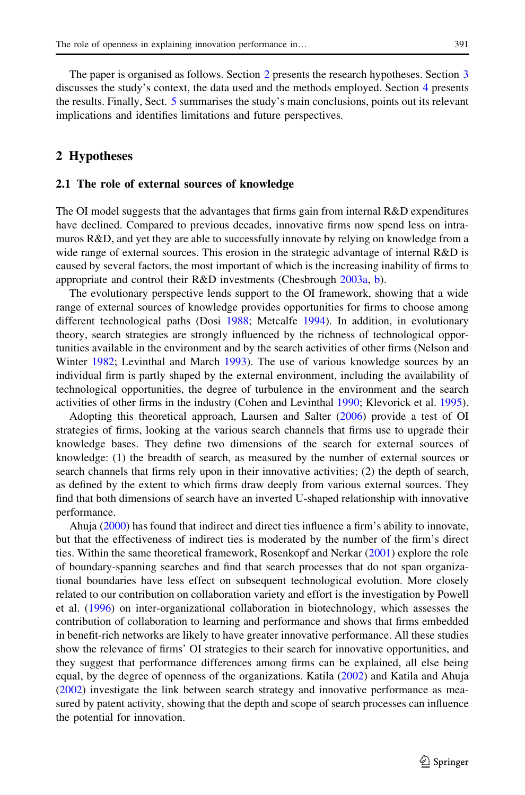The paper is organised as follows. Section 2 presents the research hypotheses. Section 3 discusses the study's context, the data used and the methods employed. Section 4 presents the results. Finally, Sect. 5 summarises the study's main conclusions, points out its relevant implications and identifies limitations and future perspectives.

#### 2 Hypotheses

#### 2.1 The role of external sources of knowledge

The OI model suggests that the advantages that firms gain from internal R&D expenditures have declined. Compared to previous decades, innovative firms now spend less on intramuros R&D, and yet they are able to successfully innovate by relying on knowledge from a wide range of external sources. This erosion in the strategic advantage of internal R&D is caused by several factors, the most important of which is the increasing inability of firms to appropriate and control their R&D investments (Chesbrough 2003a, b).

The evolutionary perspective lends support to the OI framework, showing that a wide range of external sources of knowledge provides opportunities for firms to choose among different technological paths (Dosi 1988; Metcalfe 1994). In addition, in evolutionary theory, search strategies are strongly influenced by the richness of technological opportunities available in the environment and by the search activities of other firms (Nelson and Winter 1982; Levinthal and March 1993). The use of various knowledge sources by an individual firm is partly shaped by the external environment, including the availability of technological opportunities, the degree of turbulence in the environment and the search activities of other firms in the industry (Cohen and Levinthal 1990; Klevorick et al. 1995).

Adopting this theoretical approach, Laursen and Salter (2006) provide a test of OI strategies of firms, looking at the various search channels that firms use to upgrade their knowledge bases. They define two dimensions of the search for external sources of knowledge: (1) the breadth of search, as measured by the number of external sources or search channels that firms rely upon in their innovative activities; (2) the depth of search, as defined by the extent to which firms draw deeply from various external sources. They find that both dimensions of search have an inverted U-shaped relationship with innovative performance.

Ahuja (2000) has found that indirect and direct ties influence a firm's ability to innovate, but that the effectiveness of indirect ties is moderated by the number of the firm's direct ties. Within the same theoretical framework, Rosenkopf and Nerkar (2001) explore the role of boundary-spanning searches and find that search processes that do not span organizational boundaries have less effect on subsequent technological evolution. More closely related to our contribution on collaboration variety and effort is the investigation by Powell et al. (1996) on inter-organizational collaboration in biotechnology, which assesses the contribution of collaboration to learning and performance and shows that firms embedded in benefit-rich networks are likely to have greater innovative performance. All these studies show the relevance of firms' OI strategies to their search for innovative opportunities, and they suggest that performance differences among firms can be explained, all else being equal, by the degree of openness of the organizations. Katila (2002) and Katila and Ahuja (2002) investigate the link between search strategy and innovative performance as measured by patent activity, showing that the depth and scope of search processes can influence the potential for innovation.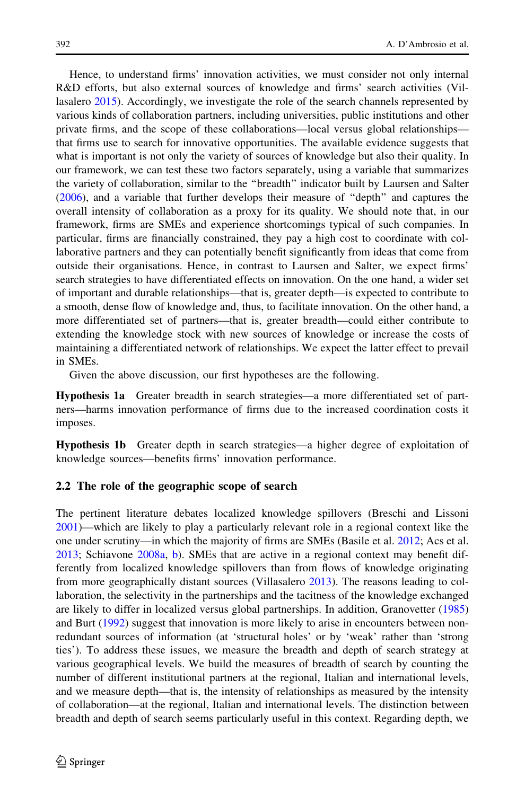Hence, to understand firms' innovation activities, we must consider not only internal R&D efforts, but also external sources of knowledge and firms' search activities (Villasalero 2015). Accordingly, we investigate the role of the search channels represented by various kinds of collaboration partners, including universities, public institutions and other private firms, and the scope of these collaborations—local versus global relationships that firms use to search for innovative opportunities. The available evidence suggests that what is important is not only the variety of sources of knowledge but also their quality. In our framework, we can test these two factors separately, using a variable that summarizes the variety of collaboration, similar to the ''breadth'' indicator built by Laursen and Salter (2006), and a variable that further develops their measure of ''depth'' and captures the overall intensity of collaboration as a proxy for its quality. We should note that, in our framework, firms are SMEs and experience shortcomings typical of such companies. In particular, firms are financially constrained, they pay a high cost to coordinate with collaborative partners and they can potentially benefit significantly from ideas that come from outside their organisations. Hence, in contrast to Laursen and Salter, we expect firms' search strategies to have differentiated effects on innovation. On the one hand, a wider set of important and durable relationships—that is, greater depth—is expected to contribute to a smooth, dense flow of knowledge and, thus, to facilitate innovation. On the other hand, a more differentiated set of partners—that is, greater breadth—could either contribute to extending the knowledge stock with new sources of knowledge or increase the costs of maintaining a differentiated network of relationships. We expect the latter effect to prevail in SMEs.

Given the above discussion, our first hypotheses are the following.

Hypothesis 1a Greater breadth in search strategies—a more differentiated set of partners—harms innovation performance of firms due to the increased coordination costs it imposes.

Hypothesis 1b Greater depth in search strategies—a higher degree of exploitation of knowledge sources—benefits firms' innovation performance.

## 2.2 The role of the geographic scope of search

The pertinent literature debates localized knowledge spillovers (Breschi and Lissoni 2001)—which are likely to play a particularly relevant role in a regional context like the one under scrutiny—in which the majority of firms are SMEs (Basile et al. 2012; Acs et al. 2013; Schiavone 2008a, b). SMEs that are active in a regional context may benefit differently from localized knowledge spillovers than from flows of knowledge originating from more geographically distant sources (Villasalero 2013). The reasons leading to collaboration, the selectivity in the partnerships and the tacitness of the knowledge exchanged are likely to differ in localized versus global partnerships. In addition, Granovetter (1985) and Burt (1992) suggest that innovation is more likely to arise in encounters between nonredundant sources of information (at 'structural holes' or by 'weak' rather than 'strong ties'). To address these issues, we measure the breadth and depth of search strategy at various geographical levels. We build the measures of breadth of search by counting the number of different institutional partners at the regional, Italian and international levels, and we measure depth—that is, the intensity of relationships as measured by the intensity of collaboration—at the regional, Italian and international levels. The distinction between breadth and depth of search seems particularly useful in this context. Regarding depth, we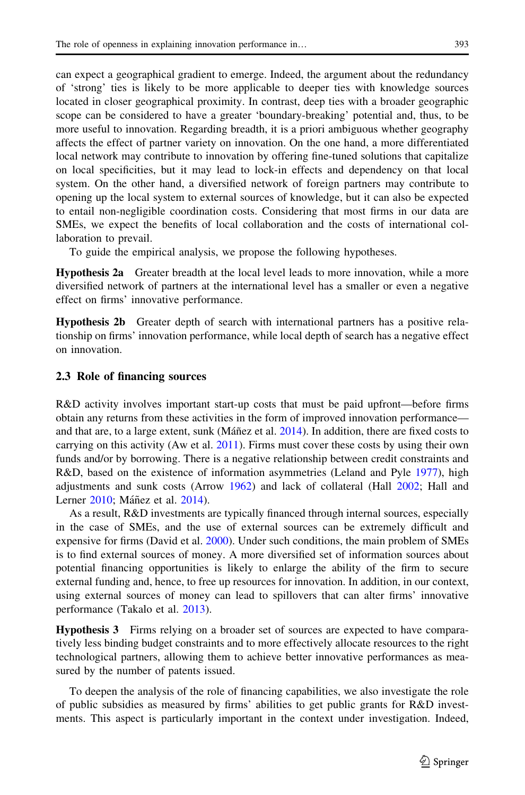can expect a geographical gradient to emerge. Indeed, the argument about the redundancy of 'strong' ties is likely to be more applicable to deeper ties with knowledge sources located in closer geographical proximity. In contrast, deep ties with a broader geographic scope can be considered to have a greater 'boundary-breaking' potential and, thus, to be more useful to innovation. Regarding breadth, it is a priori ambiguous whether geography affects the effect of partner variety on innovation. On the one hand, a more differentiated local network may contribute to innovation by offering fine-tuned solutions that capitalize on local specificities, but it may lead to lock-in effects and dependency on that local system. On the other hand, a diversified network of foreign partners may contribute to opening up the local system to external sources of knowledge, but it can also be expected to entail non-negligible coordination costs. Considering that most firms in our data are SMEs, we expect the benefits of local collaboration and the costs of international collaboration to prevail.

To guide the empirical analysis, we propose the following hypotheses.

Hypothesis 2a Greater breadth at the local level leads to more innovation, while a more diversified network of partners at the international level has a smaller or even a negative effect on firms' innovative performance.

Hypothesis 2b Greater depth of search with international partners has a positive relationship on firms' innovation performance, while local depth of search has a negative effect on innovation.

#### 2.3 Role of financing sources

R&D activity involves important start-up costs that must be paid upfront—before firms obtain any returns from these activities in the form of improved innovation performance and that are, to a large extent, sunk (Máñez et al. 2014). In addition, there are fixed costs to carrying on this activity (Aw et al. 2011). Firms must cover these costs by using their own funds and/or by borrowing. There is a negative relationship between credit constraints and R&D, based on the existence of information asymmetries (Leland and Pyle 1977), high adjustments and sunk costs (Arrow 1962) and lack of collateral (Hall 2002; Hall and Lerner 2010; Máñez et al. 2014).

As a result, R&D investments are typically financed through internal sources, especially in the case of SMEs, and the use of external sources can be extremely difficult and expensive for firms (David et al. 2000). Under such conditions, the main problem of SMEs is to find external sources of money. A more diversified set of information sources about potential financing opportunities is likely to enlarge the ability of the firm to secure external funding and, hence, to free up resources for innovation. In addition, in our context, using external sources of money can lead to spillovers that can alter firms' innovative performance (Takalo et al. 2013).

Hypothesis 3 Firms relying on a broader set of sources are expected to have comparatively less binding budget constraints and to more effectively allocate resources to the right technological partners, allowing them to achieve better innovative performances as measured by the number of patents issued.

To deepen the analysis of the role of financing capabilities, we also investigate the role of public subsidies as measured by firms' abilities to get public grants for R&D investments. This aspect is particularly important in the context under investigation. Indeed,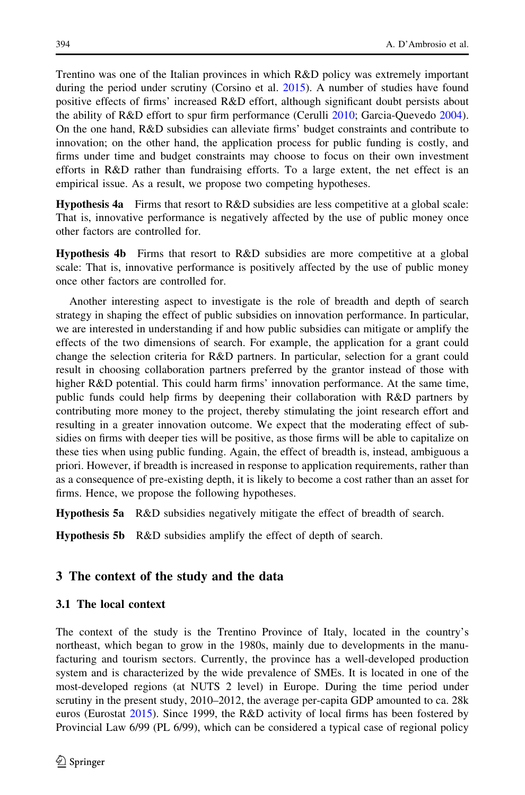Trentino was one of the Italian provinces in which R&D policy was extremely important during the period under scrutiny (Corsino et al. 2015). A number of studies have found positive effects of firms' increased R&D effort, although significant doubt persists about the ability of R&D effort to spur firm performance (Cerulli 2010; Garcia-Quevedo 2004). On the one hand, R&D subsidies can alleviate firms' budget constraints and contribute to innovation; on the other hand, the application process for public funding is costly, and firms under time and budget constraints may choose to focus on their own investment efforts in R&D rather than fundraising efforts. To a large extent, the net effect is an empirical issue. As a result, we propose two competing hypotheses.

Hypothesis 4a Firms that resort to R&D subsidies are less competitive at a global scale: That is, innovative performance is negatively affected by the use of public money once other factors are controlled for.

Hypothesis 4b Firms that resort to R&D subsidies are more competitive at a global scale: That is, innovative performance is positively affected by the use of public money once other factors are controlled for.

Another interesting aspect to investigate is the role of breadth and depth of search strategy in shaping the effect of public subsidies on innovation performance. In particular, we are interested in understanding if and how public subsidies can mitigate or amplify the effects of the two dimensions of search. For example, the application for a grant could change the selection criteria for R&D partners. In particular, selection for a grant could result in choosing collaboration partners preferred by the grantor instead of those with higher R&D potential. This could harm firms' innovation performance. At the same time, public funds could help firms by deepening their collaboration with R&D partners by contributing more money to the project, thereby stimulating the joint research effort and resulting in a greater innovation outcome. We expect that the moderating effect of subsidies on firms with deeper ties will be positive, as those firms will be able to capitalize on these ties when using public funding. Again, the effect of breadth is, instead, ambiguous a priori. However, if breadth is increased in response to application requirements, rather than as a consequence of pre-existing depth, it is likely to become a cost rather than an asset for firms. Hence, we propose the following hypotheses.

Hypothesis 5a R&D subsidies negatively mitigate the effect of breadth of search.

Hypothesis 5b R&D subsidies amplify the effect of depth of search.

# 3 The context of the study and the data

#### 3.1 The local context

The context of the study is the Trentino Province of Italy, located in the country's northeast, which began to grow in the 1980s, mainly due to developments in the manufacturing and tourism sectors. Currently, the province has a well-developed production system and is characterized by the wide prevalence of SMEs. It is located in one of the most-developed regions (at NUTS 2 level) in Europe. During the time period under scrutiny in the present study, 2010–2012, the average per-capita GDP amounted to ca. 28k euros (Eurostat 2015). Since 1999, the R&D activity of local firms has been fostered by Provincial Law 6/99 (PL 6/99), which can be considered a typical case of regional policy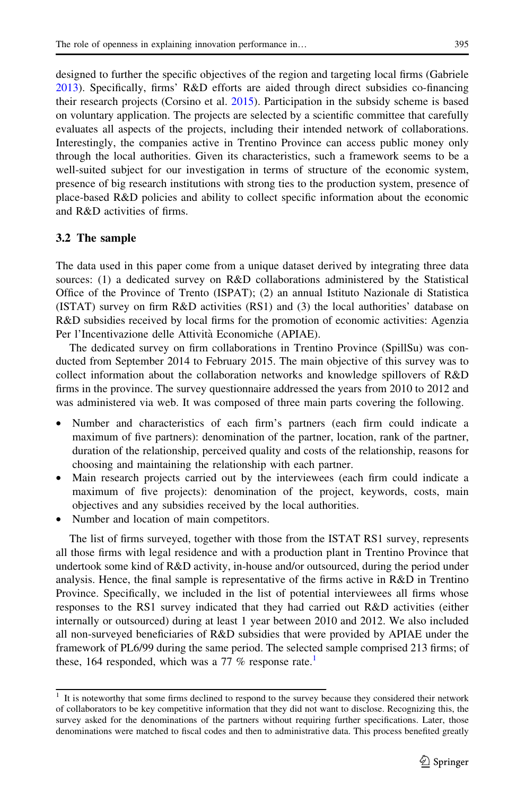designed to further the specific objectives of the region and targeting local firms (Gabriele 2013). Specifically, firms' R&D efforts are aided through direct subsidies co-financing their research projects (Corsino et al. 2015). Participation in the subsidy scheme is based on voluntary application. The projects are selected by a scientific committee that carefully evaluates all aspects of the projects, including their intended network of collaborations. Interestingly, the companies active in Trentino Province can access public money only through the local authorities. Given its characteristics, such a framework seems to be a well-suited subject for our investigation in terms of structure of the economic system, presence of big research institutions with strong ties to the production system, presence of place-based R&D policies and ability to collect specific information about the economic and R&D activities of firms.

# 3.2 The sample

The data used in this paper come from a unique dataset derived by integrating three data sources: (1) a dedicated survey on R&D collaborations administered by the Statistical Office of the Province of Trento (ISPAT); (2) an annual Istituto Nazionale di Statistica (ISTAT) survey on firm R&D activities (RS1) and (3) the local authorities' database on R&D subsidies received by local firms for the promotion of economic activities: Agenzia Per l'Incentivazione delle Attività Economiche (APIAE).

The dedicated survey on firm collaborations in Trentino Province (SpillSu) was conducted from September 2014 to February 2015. The main objective of this survey was to collect information about the collaboration networks and knowledge spillovers of R&D firms in the province. The survey questionnaire addressed the years from 2010 to 2012 and was administered via web. It was composed of three main parts covering the following.

- Number and characteristics of each firm's partners (each firm could indicate a maximum of five partners): denomination of the partner, location, rank of the partner, duration of the relationship, perceived quality and costs of the relationship, reasons for choosing and maintaining the relationship with each partner.
- Main research projects carried out by the interviewees (each firm could indicate a maximum of five projects): denomination of the project, keywords, costs, main objectives and any subsidies received by the local authorities.
- Number and location of main competitors.

The list of firms surveyed, together with those from the ISTAT RS1 survey, represents all those firms with legal residence and with a production plant in Trentino Province that undertook some kind of R&D activity, in-house and/or outsourced, during the period under analysis. Hence, the final sample is representative of the firms active in R&D in Trentino Province. Specifically, we included in the list of potential interviewees all firms whose responses to the RS1 survey indicated that they had carried out R&D activities (either internally or outsourced) during at least 1 year between 2010 and 2012. We also included all non-surveyed beneficiaries of R&D subsidies that were provided by APIAE under the framework of PL6/99 during the same period. The selected sample comprised 213 firms; of these, 164 responded, which was a 77 % response rate.<sup>1</sup>

<sup>1</sup> It is noteworthy that some firms declined to respond to the survey because they considered their network of collaborators to be key competitive information that they did not want to disclose. Recognizing this, the survey asked for the denominations of the partners without requiring further specifications. Later, those denominations were matched to fiscal codes and then to administrative data. This process benefited greatly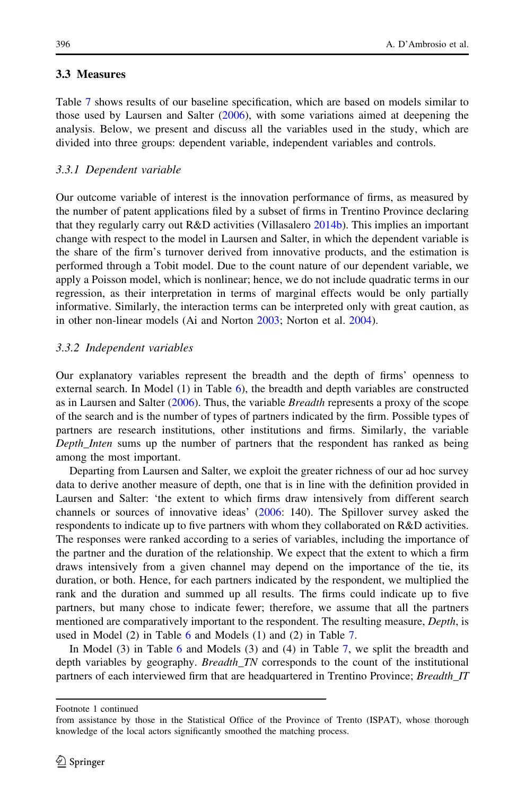#### 3.3 Measures

Table 7 shows results of our baseline specification, which are based on models similar to those used by Laursen and Salter (2006), with some variations aimed at deepening the analysis. Below, we present and discuss all the variables used in the study, which are divided into three groups: dependent variable, independent variables and controls.

#### 3.3.1 Dependent variable

Our outcome variable of interest is the innovation performance of firms, as measured by the number of patent applications filed by a subset of firms in Trentino Province declaring that they regularly carry out R&D activities (Villasalero 2014b). This implies an important change with respect to the model in Laursen and Salter, in which the dependent variable is the share of the firm's turnover derived from innovative products, and the estimation is performed through a Tobit model. Due to the count nature of our dependent variable, we apply a Poisson model, which is nonlinear; hence, we do not include quadratic terms in our regression, as their interpretation in terms of marginal effects would be only partially informative. Similarly, the interaction terms can be interpreted only with great caution, as in other non-linear models (Ai and Norton 2003; Norton et al. 2004).

#### 3.3.2 Independent variables

Our explanatory variables represent the breadth and the depth of firms' openness to external search. In Model  $(1)$  in Table  $(6)$ , the breadth and depth variables are constructed as in Laursen and Salter (2006). Thus, the variable Breadth represents a proxy of the scope of the search and is the number of types of partners indicated by the firm. Possible types of partners are research institutions, other institutions and firms. Similarly, the variable Depth\_Inten sums up the number of partners that the respondent has ranked as being among the most important.

Departing from Laursen and Salter, we exploit the greater richness of our ad hoc survey data to derive another measure of depth, one that is in line with the definition provided in Laursen and Salter: 'the extent to which firms draw intensively from different search channels or sources of innovative ideas' (2006: 140). The Spillover survey asked the respondents to indicate up to five partners with whom they collaborated on R&D activities. The responses were ranked according to a series of variables, including the importance of the partner and the duration of the relationship. We expect that the extent to which a firm draws intensively from a given channel may depend on the importance of the tie, its duration, or both. Hence, for each partners indicated by the respondent, we multiplied the rank and the duration and summed up all results. The firms could indicate up to five partners, but many chose to indicate fewer; therefore, we assume that all the partners mentioned are comparatively important to the respondent. The resulting measure, *Depth*, is used in Model (2) in Table 6 and Models (1) and (2) in Table 7.

In Model (3) in Table 6 and Models (3) and (4) in Table 7, we split the breadth and depth variables by geography. Breadth\_TN corresponds to the count of the institutional partners of each interviewed firm that are headquartered in Trentino Province; Breadth\_IT

Footnote 1 continued

from assistance by those in the Statistical Office of the Province of Trento (ISPAT), whose thorough knowledge of the local actors significantly smoothed the matching process.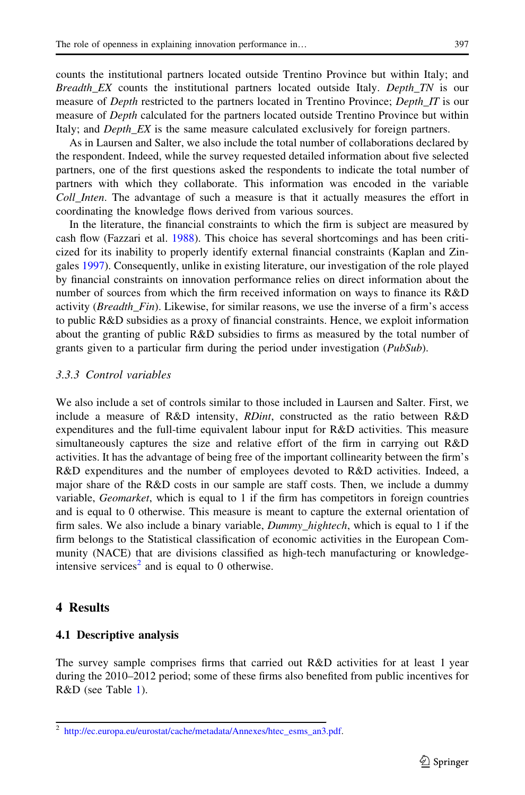counts the institutional partners located outside Trentino Province but within Italy; and Breadth EX counts the institutional partners located outside Italy. Depth TN is our measure of *Depth* restricted to the partners located in Trentino Province; *Depth\_IT* is our measure of *Depth* calculated for the partners located outside Trentino Province but within Italy; and *Depth\_EX* is the same measure calculated exclusively for foreign partners.

As in Laursen and Salter, we also include the total number of collaborations declared by the respondent. Indeed, while the survey requested detailed information about five selected partners, one of the first questions asked the respondents to indicate the total number of partners with which they collaborate. This information was encoded in the variable Coll Inten. The advantage of such a measure is that it actually measures the effort in coordinating the knowledge flows derived from various sources.

In the literature, the financial constraints to which the firm is subject are measured by cash flow (Fazzari et al. 1988). This choice has several shortcomings and has been criticized for its inability to properly identify external financial constraints (Kaplan and Zingales 1997). Consequently, unlike in existing literature, our investigation of the role played by financial constraints on innovation performance relies on direct information about the number of sources from which the firm received information on ways to finance its R&D activity (*Breadth Fin*). Likewise, for similar reasons, we use the inverse of a firm's access to public R&D subsidies as a proxy of financial constraints. Hence, we exploit information about the granting of public R&D subsidies to firms as measured by the total number of grants given to a particular firm during the period under investigation (PubSub).

#### 3.3.3 Control variables

We also include a set of controls similar to those included in Laursen and Salter. First, we include a measure of R&D intensity, RDint, constructed as the ratio between R&D expenditures and the full-time equivalent labour input for R&D activities. This measure simultaneously captures the size and relative effort of the firm in carrying out R&D activities. It has the advantage of being free of the important collinearity between the firm's R&D expenditures and the number of employees devoted to R&D activities. Indeed, a major share of the R&D costs in our sample are staff costs. Then, we include a dummy variable, *Geomarket*, which is equal to  $1$  if the firm has competitors in foreign countries and is equal to 0 otherwise. This measure is meant to capture the external orientation of firm sales. We also include a binary variable, *Dummy\_hightech*, which is equal to 1 if the firm belongs to the Statistical classification of economic activities in the European Community (NACE) that are divisions classified as high-tech manufacturing or knowledgeintensive services<sup>2</sup> and is equal to 0 otherwise.

## 4 Results

#### 4.1 Descriptive analysis

The survey sample comprises firms that carried out R&D activities for at least 1 year during the 2010–2012 period; some of these firms also benefited from public incentives for R&D (see Table 1).

<sup>2</sup> [http://ec.europa.eu/eurostat/cache/metadata/Annexes/htec\\_esms\\_an3.pdf.](http://ec.europa.eu/eurostat/cache/metadata/Annexes/htec_esms_an3.pdf)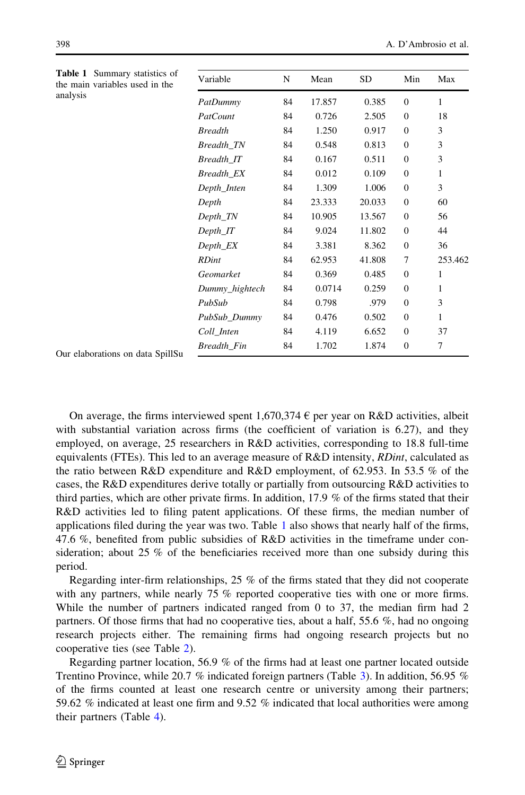| <b>Table 1</b> Summary statistics of<br>the main variables used in the<br>analysis | Variable       | N  | Mean   | SD     | Min            | Max     |
|------------------------------------------------------------------------------------|----------------|----|--------|--------|----------------|---------|
|                                                                                    | PatDummy       | 84 | 17.857 | 0.385  | $\overline{0}$ | 1       |
|                                                                                    | PatCount       | 84 | 0.726  | 2.505  | $\overline{0}$ | 18      |
|                                                                                    | <b>Breadth</b> | 84 | 1.250  | 0.917  | $\overline{0}$ | 3       |
|                                                                                    | Breadth_TN     | 84 | 0.548  | 0.813  | $\Omega$       | 3       |
|                                                                                    | Breadth IT     | 84 | 0.167  | 0.511  | $\overline{0}$ | 3       |
|                                                                                    | Breadth_EX     | 84 | 0.012  | 0.109  | $\overline{0}$ | 1       |
|                                                                                    | Depth_Inten    | 84 | 1.309  | 1.006  | $\overline{0}$ | 3       |
|                                                                                    | Depth          | 84 | 23.333 | 20.033 | $\overline{0}$ | 60      |
|                                                                                    | Depth_TN       | 84 | 10.905 | 13.567 | $\overline{0}$ | 56      |
|                                                                                    | $Depth_I T$    | 84 | 9.024  | 11.802 | $\overline{0}$ | 44      |
|                                                                                    | Depth_EX       | 84 | 3.381  | 8.362  | $\overline{0}$ | 36      |
|                                                                                    | <b>RDint</b>   | 84 | 62.953 | 41.808 | 7              | 253.462 |
|                                                                                    | Geomarket      | 84 | 0.369  | 0.485  | $\overline{0}$ | 1       |
|                                                                                    | Dummy_hightech | 84 | 0.0714 | 0.259  | $\overline{0}$ | 1       |
|                                                                                    | PubSub         | 84 | 0.798  | .979   | $\overline{0}$ | 3       |
|                                                                                    | PubSub_Dummy   | 84 | 0.476  | 0.502  | $\overline{0}$ | 1       |
|                                                                                    | Coll_Inten     | 84 | 4.119  | 6.652  | $\overline{0}$ | 37      |
|                                                                                    | Breadth Fin    | 84 | 1.702  | 1.874  | $\overline{0}$ | 7       |
| $\sim$ 1. $\sim$ 110<br>$\sim$ 11 $\cdot$                                          |                |    |        |        |                |         |

Our elaborations on data SpillSu

On average, the firms interviewed spent  $1,670,374 \in$  per year on R&D activities, albeit with substantial variation across firms (the coefficient of variation is 6.27), and they employed, on average, 25 researchers in R&D activities, corresponding to 18.8 full-time equivalents (FTEs). This led to an average measure of  $R&D$  intensity,  $RDint$ , calculated as the ratio between R&D expenditure and R&D employment, of 62.953. In 53.5 % of the cases, the R&D expenditures derive totally or partially from outsourcing R&D activities to third parties, which are other private firms. In addition, 17.9 % of the firms stated that their R&D activities led to filing patent applications. Of these firms, the median number of applications filed during the year was two. Table  $1$  also shows that nearly half of the firms, 47.6 %, benefited from public subsidies of R&D activities in the timeframe under consideration; about 25 % of the beneficiaries received more than one subsidy during this period.

Regarding inter-firm relationships, 25 % of the firms stated that they did not cooperate with any partners, while nearly 75 % reported cooperative ties with one or more firms. While the number of partners indicated ranged from 0 to 37, the median firm had 2 partners. Of those firms that had no cooperative ties, about a half, 55.6 %, had no ongoing research projects either. The remaining firms had ongoing research projects but no cooperative ties (see Table 2).

Regarding partner location, 56.9 % of the firms had at least one partner located outside Trentino Province, while 20.7 % indicated foreign partners (Table 3). In addition, 56.95 % of the firms counted at least one research centre or university among their partners; 59.62 % indicated at least one firm and 9.52 % indicated that local authorities were among their partners (Table 4).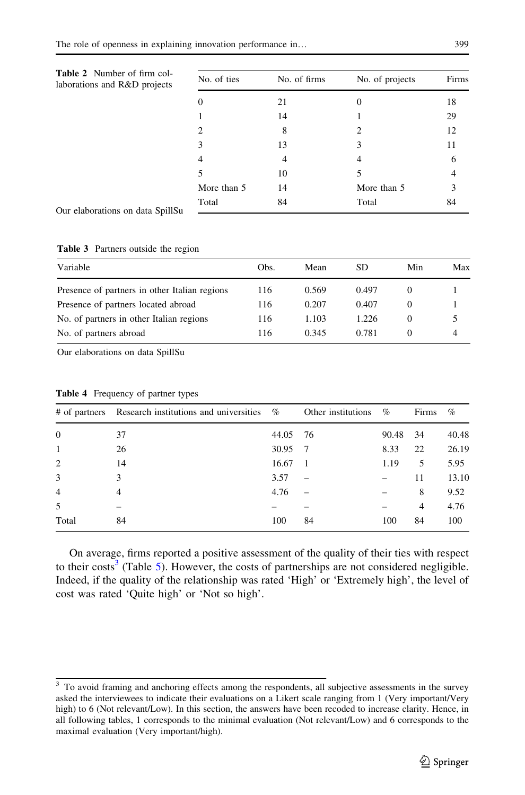| <b>Table 2</b> Number of firm col-<br>laborations and R&D projects | No. of ties | No. of firms | No. of projects             | Firms |
|--------------------------------------------------------------------|-------------|--------------|-----------------------------|-------|
|                                                                    | 0           | 21           |                             | 18    |
|                                                                    |             | 14           |                             | 29    |
|                                                                    | 2           | 8            | $\mathcal{D}_{\mathcal{L}}$ | 12    |
|                                                                    | 3           | 13           | 3                           | 11    |
|                                                                    | 4           | 4            | 4                           | 6     |
|                                                                    | 5           | 10           | 5                           | 4     |
|                                                                    | More than 5 | 14           | More than 5                 | 3     |
| Our elaborations on data SpillSu                                   | Total       | 84           | Total                       | 84    |

|  | <b>Table 3</b> Partners outside the region |  |  |  |
|--|--------------------------------------------|--|--|--|
|--|--------------------------------------------|--|--|--|

| Variable                                      | Obs. | Mean  | SD    | Min | Max |
|-----------------------------------------------|------|-------|-------|-----|-----|
| Presence of partners in other Italian regions | 116  | 0.569 | 0.497 |     |     |
| Presence of partners located abroad           | 116  | 0.207 | 0.407 |     |     |
| No. of partners in other Italian regions      | 116  | 1.103 | 1.226 |     |     |
| No. of partners abroad                        | 116  | 0.345 | 0.781 |     |     |

Our elaborations on data SpillSu

|                | # of partners Research institutions and universities $\%$ |       | Other institutions | %     | Firms | $\%$  |
|----------------|-----------------------------------------------------------|-------|--------------------|-------|-------|-------|
| $\theta$       | 37                                                        | 44.05 | -76                | 90.48 | 34    | 40.48 |
| $\overline{1}$ | 26                                                        | 30.95 | -7                 | 8.33  | 22    | 26.19 |
| $\overline{2}$ | 14                                                        | 16.67 |                    | 1.19  | 5     | 5.95  |
| 3              | 3                                                         | 3.57  |                    |       | 11    | 13.10 |
| $\overline{4}$ | 4                                                         | 4.76  |                    |       | 8     | 9.52  |
| 5              |                                                           |       |                    |       | 4     | 4.76  |
| Total          | 84                                                        | 100   | 84                 | 100   | 84    | 100   |

Table 4 Frequency of partner types

On average, firms reported a positive assessment of the quality of their ties with respect to their costs<sup>3</sup> (Table 5). However, the costs of partnerships are not considered negligible. Indeed, if the quality of the relationship was rated 'High' or 'Extremely high', the level of cost was rated 'Quite high' or 'Not so high'.

<sup>&</sup>lt;sup>3</sup> To avoid framing and anchoring effects among the respondents, all subjective assessments in the survey asked the interviewees to indicate their evaluations on a Likert scale ranging from 1 (Very important/Very high) to 6 (Not relevant/Low). In this section, the answers have been recoded to increase clarity. Hence, in all following tables, 1 corresponds to the minimal evaluation (Not relevant/Low) and 6 corresponds to the maximal evaluation (Very important/high).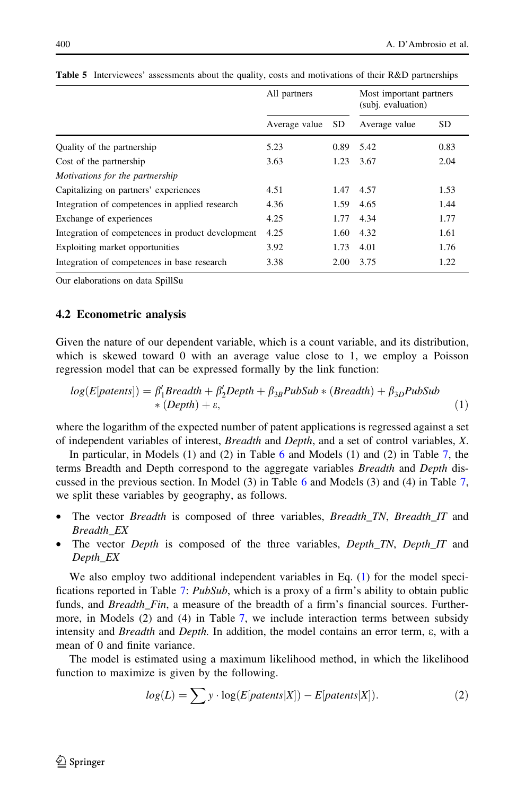|                                                   | All partners  |           | Most important partners<br>(subj. evaluation) |           |
|---------------------------------------------------|---------------|-----------|-----------------------------------------------|-----------|
|                                                   | Average value | SD.       | Average value                                 | <b>SD</b> |
| Quality of the partnership                        | 5.23          | 0.89 5.42 |                                               | 0.83      |
| Cost of the partnership                           | 3.63          | 1.23      | 3.67                                          | 2.04      |
| Motivations for the partnership                   |               |           |                                               |           |
| Capitalizing on partners' experiences             | 4.51          | 1.47      | 4.57                                          | 1.53      |
| Integration of competences in applied research    | 4.36          | 1.59      | 4.65                                          | 1.44      |
| Exchange of experiences                           | 4.25          | 1.77      | 4.34                                          | 1.77      |
| Integration of competences in product development | 4.25          | 1.60      | 4.32                                          | 1.61      |
| Exploiting market opportunities                   | 3.92          | 1.73      | 4.01                                          | 1.76      |
| Integration of competences in base research       | 3.38          | 2.00      | 3.75                                          | 1.22      |

Table 5 Interviewees' assessments about the quality, costs and motivations of their R&D partnerships

Our elaborations on data SpillSu

#### 4.2 Econometric analysis

Given the nature of our dependent variable, which is a count variable, and its distribution, which is skewed toward 0 with an average value close to 1, we employ a Poisson regression model that can be expressed formally by the link function:

$$
log(E[patterns]) = \beta'_1
$$
*Breadth* +  $\beta'_2$ *Depth* +  $\beta_{3B}$ *PubSub* \* (*Breadth*) +  $\beta_{3D}$ *PubSub* \* (*Depth*) +  $\varepsilon$ , (1)

where the logarithm of the expected number of patent applications is regressed against a set of independent variables of interest, Breadth and Depth, and a set of control variables, X.

In particular, in Models (1) and (2) in Table 6 and Models (1) and (2) in Table 7, the terms Breadth and Depth correspond to the aggregate variables Breadth and Depth discussed in the previous section. In Model (3) in Table 6 and Models (3) and (4) in Table 7, we split these variables by geography, as follows.

- The vector *Breadth* is composed of three variables, *Breadth\_TN*, *Breadth\_IT* and Breadth\_EX
- The vector *Depth* is composed of the three variables, *Depth\_TN*, *Depth\_IT* and Depth\_EX

We also employ two additional independent variables in Eq. (1) for the model specifications reported in Table 7: PubSub, which is a proxy of a firm's ability to obtain public funds, and *Breadth\_Fin*, a measure of the breadth of a firm's financial sources. Furthermore, in Models (2) and (4) in Table 7, we include interaction terms between subsidy intensity and *Breadth* and *Depth*. In addition, the model contains an error term,  $\varepsilon$ , with a mean of 0 and finite variance.

The model is estimated using a maximum likelihood method, in which the likelihood function to maximize is given by the following.

$$
log(L) = \sum y \cdot log(E[paths|X]) - E[paths|X]).
$$
 (2)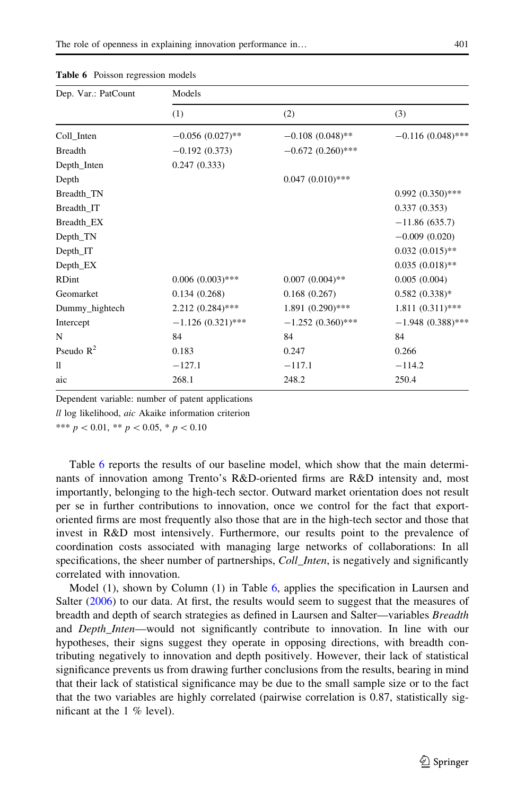| Dep. Var.: PatCount | Models              |                     |                     |  |  |
|---------------------|---------------------|---------------------|---------------------|--|--|
|                     | (1)                 | (2)                 | (3)                 |  |  |
| Coll_Inten          | $-0.056(0.027)$ **  | $-0.108(0.048)$ **  | $-0.116(0.048)$ *** |  |  |
| <b>Breadth</b>      | $-0.192(0.373)$     | $-0.672(0.260)$ *** |                     |  |  |
| Depth_Inten         | 0.247(0.333)        |                     |                     |  |  |
| Depth               |                     | $0.047(0.010)$ ***  |                     |  |  |
| Breadth_TN          |                     |                     | $0.992(0.350)$ ***  |  |  |
| Breadth_IT          |                     |                     | 0.337(0.353)        |  |  |
| Breadth_EX          |                     |                     | $-11.86(635.7)$     |  |  |
| Depth_TN            |                     |                     | $-0.009(0.020)$     |  |  |
| Depth_IT            |                     |                     | $0.032(0.015)$ **   |  |  |
| Depth_EX            |                     |                     | $0.035(0.018)$ **   |  |  |
| <b>RDint</b>        | $0.006(0.003)$ ***  | $0.007(0.004)$ **   | 0.005(0.004)        |  |  |
| Geomarket           | 0.134(0.268)        | 0.168(0.267)        | $0.582(0.338)*$     |  |  |
| Dummy_hightech      | $2.212(0.284)$ ***  | 1.891 (0.290)***    | $1.811(0.311)$ ***  |  |  |
| Intercept           | $-1.126(0.321)$ *** | $-1.252(0.360)$ *** | $-1.948(0.388)$ *** |  |  |
| N                   | 84                  | 84                  | 84                  |  |  |
| Pseudo $R^2$        | 0.183               | 0.247               | 0.266               |  |  |
| $\mathbf{1}$        | $-127.1$            | $-117.1$            | $-114.2$            |  |  |
| aic                 | 268.1               | 248.2               | 250.4               |  |  |

Table 6 Poisson regression models

Dependent variable: number of patent applications

ll log likelihood, aic Akaike information criterion

\*\*\*  $p < 0.01$ , \*\*  $p < 0.05$ , \*  $p < 0.10$ 

Table 6 reports the results of our baseline model, which show that the main determinants of innovation among Trento's R&D-oriented firms are R&D intensity and, most importantly, belonging to the high-tech sector. Outward market orientation does not result per se in further contributions to innovation, once we control for the fact that exportoriented firms are most frequently also those that are in the high-tech sector and those that invest in R&D most intensively. Furthermore, our results point to the prevalence of coordination costs associated with managing large networks of collaborations: In all specifications, the sheer number of partnerships, *Coll\_Inten*, is negatively and significantly correlated with innovation.

Model  $(1)$ , shown by Column  $(1)$  in Table 6, applies the specification in Laursen and Salter (2006) to our data. At first, the results would seem to suggest that the measures of breadth and depth of search strategies as defined in Laursen and Salter—variables Breadth and *Depth Inten*—would not significantly contribute to innovation. In line with our hypotheses, their signs suggest they operate in opposing directions, with breadth contributing negatively to innovation and depth positively. However, their lack of statistical significance prevents us from drawing further conclusions from the results, bearing in mind that their lack of statistical significance may be due to the small sample size or to the fact that the two variables are highly correlated (pairwise correlation is 0.87, statistically significant at the 1 % level).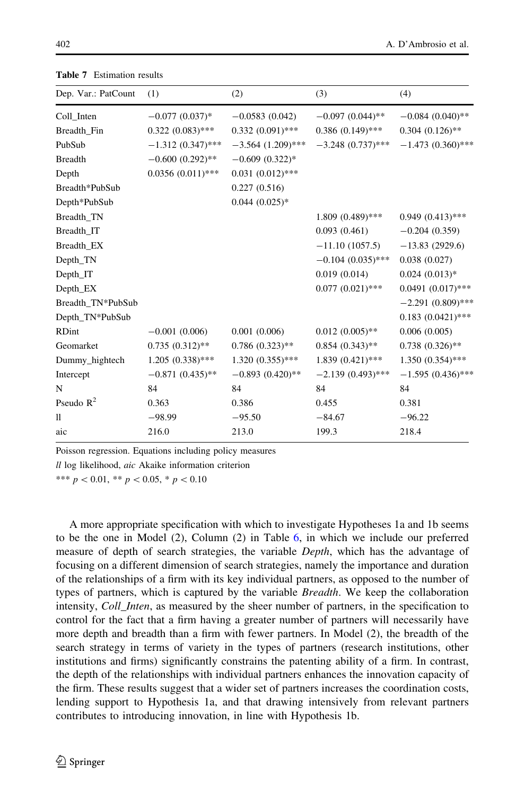| Dep. Var.: PatCount | (1)                 | (2)                 | (3)                 | (4)                    |
|---------------------|---------------------|---------------------|---------------------|------------------------|
| Coll Inten          | $-0.077(0.037)$ *   | $-0.0583(0.042)$    | $-0.097(0.044)$ **  | $-0.084(0.040)$ **     |
| Breadth Fin         | $0.322(0.083)$ ***  | $0.332(0.091)$ ***  | $0.386(0.149)$ ***  | $0.304(0.126)$ **      |
| PubSub              | $-1.312(0.347)$ *** | $-3.564$ (1.209)*** | $-3.248(0.737)$ *** | $-1.473(0.360)$ ***    |
| <b>Breadth</b>      | $-0.600(0.292)$ **  | $-0.609(0.322)*$    |                     |                        |
| Depth               | $0.0356(0.011)$ *** | $0.031(0.012)$ ***  |                     |                        |
| Breadth*PubSub      |                     | 0.227(0.516)        |                     |                        |
| Depth*PubSub        |                     | $0.044$ $(0.025)*$  |                     |                        |
| Breadth_TN          |                     |                     | $1.809(0.489)$ ***  | $0.949(0.413)$ ***     |
| Breadth IT          |                     |                     | 0.093(0.461)        | $-0.204(0.359)$        |
| Breadth EX          |                     |                     | $-11.10(1057.5)$    | $-13.83(2929.6)$       |
| Depth_TN            |                     |                     | $-0.104(0.035)$ *** | 0.038(0.027)           |
| Depth_IT            |                     |                     | 0.019(0.014)        | $0.024(0.013)*$        |
| Depth_EX            |                     |                     | $0.077~(0.021)$ *** | $0.0491(0.017)$ ***    |
| Breadth TN*PubSub   |                     |                     |                     | $-2.291(0.809)$ ***    |
| Depth_TN*PubSub     |                     |                     |                     | $0.183$ $(0.0421)$ *** |
| <b>RDint</b>        | $-0.001(0.006)$     | 0.001(0.006)        | $0.012(0.005)$ **   | 0.006(0.005)           |
| Geomarket           | $0.735(0.312)$ **   | $0.786(0.323)$ **   | $0.854(0.343)$ **   | $0.738(0.326)$ **      |
| Dummy_hightech      | $1.205(0.338)$ ***  | $1.320(0.355)$ ***  | $1.839(0.421)$ ***  | $1.350(0.354)$ ***     |
| Intercept           | $-0.871(0.435)$ **  | $-0.893(0.420)$ **  | $-2.139(0.493)$ *** | $-1.595(0.436)$ ***    |
| N                   | 84                  | 84                  | 84                  | 84                     |
| Pseudo $R^2$        | 0.363               | 0.386               | 0.455               | 0.381                  |
| $\mathbf{1}$        | $-98.99$            | $-95.50$            | $-84.67$            | $-96.22$               |
| aic                 | 216.0               | 213.0               | 199.3               | 218.4                  |

Poisson regression. Equations including policy measures

ll log likelihood, aic Akaike information criterion

\*\*\*  $p < 0.01$ , \*\*  $p < 0.05$ , \*  $p < 0.10$ 

A more appropriate specification with which to investigate Hypotheses 1a and 1b seems to be the one in Model (2), Column (2) in Table 6, in which we include our preferred measure of depth of search strategies, the variable Depth, which has the advantage of focusing on a different dimension of search strategies, namely the importance and duration of the relationships of a firm with its key individual partners, as opposed to the number of types of partners, which is captured by the variable *Breadth*. We keep the collaboration intensity, Coll\_Inten, as measured by the sheer number of partners, in the specification to control for the fact that a firm having a greater number of partners will necessarily have more depth and breadth than a firm with fewer partners. In Model (2), the breadth of the search strategy in terms of variety in the types of partners (research institutions, other institutions and firms) significantly constrains the patenting ability of a firm. In contrast, the depth of the relationships with individual partners enhances the innovation capacity of the firm. These results suggest that a wider set of partners increases the coordination costs, lending support to Hypothesis 1a, and that drawing intensively from relevant partners contributes to introducing innovation, in line with Hypothesis 1b.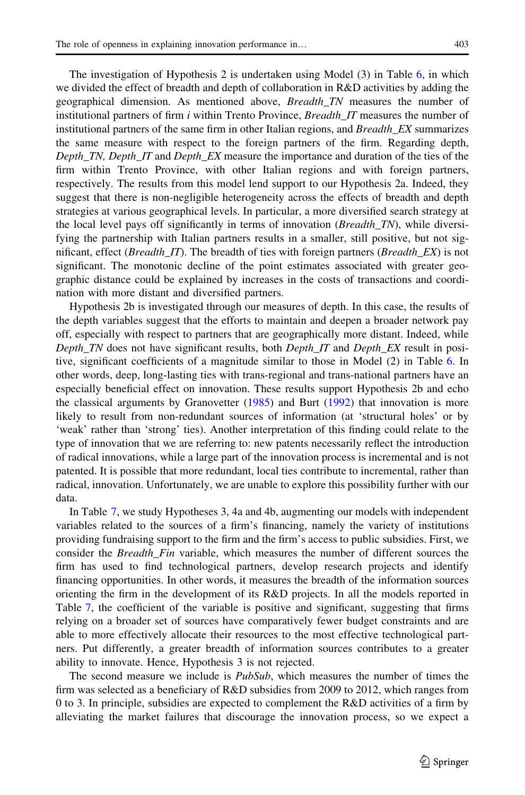The investigation of Hypothesis 2 is undertaken using Model (3) in Table 6, in which we divided the effect of breadth and depth of collaboration in R&D activities by adding the geographical dimension. As mentioned above, Breadth\_TN measures the number of institutional partners of firm i within Trento Province, *Breadth IT* measures the number of institutional partners of the same firm in other Italian regions, and Breadth\_EX summarizes the same measure with respect to the foreign partners of the firm. Regarding depth, Depth\_TN, Depth\_IT and Depth\_EX measure the importance and duration of the ties of the firm within Trento Province, with other Italian regions and with foreign partners, respectively. The results from this model lend support to our Hypothesis 2a. Indeed, they suggest that there is non-negligible heterogeneity across the effects of breadth and depth strategies at various geographical levels. In particular, a more diversified search strategy at the local level pays off significantly in terms of innovation (*Breadth\_TN*), while diversifying the partnership with Italian partners results in a smaller, still positive, but not significant, effect ( $Breadth\_IT$ ). The breadth of ties with foreign partners ( $Breadth\_EX$ ) is not significant. The monotonic decline of the point estimates associated with greater geographic distance could be explained by increases in the costs of transactions and coordination with more distant and diversified partners.

Hypothesis 2b is investigated through our measures of depth. In this case, the results of the depth variables suggest that the efforts to maintain and deepen a broader network pay off, especially with respect to partners that are geographically more distant. Indeed, while Depth TN does not have significant results, both Depth IT and Depth EX result in positive, significant coefficients of a magnitude similar to those in Model (2) in Table 6. In other words, deep, long-lasting ties with trans-regional and trans-national partners have an especially beneficial effect on innovation. These results support Hypothesis 2b and echo the classical arguments by Granovetter (1985) and Burt (1992) that innovation is more likely to result from non-redundant sources of information (at 'structural holes' or by 'weak' rather than 'strong' ties). Another interpretation of this finding could relate to the type of innovation that we are referring to: new patents necessarily reflect the introduction of radical innovations, while a large part of the innovation process is incremental and is not patented. It is possible that more redundant, local ties contribute to incremental, rather than radical, innovation. Unfortunately, we are unable to explore this possibility further with our data.

In Table 7, we study Hypotheses 3, 4a and 4b, augmenting our models with independent variables related to the sources of a firm's financing, namely the variety of institutions providing fundraising support to the firm and the firm's access to public subsidies. First, we consider the *Breadth\_Fin* variable, which measures the number of different sources the firm has used to find technological partners, develop research projects and identify financing opportunities. In other words, it measures the breadth of the information sources orienting the firm in the development of its R&D projects. In all the models reported in Table 7, the coefficient of the variable is positive and significant, suggesting that firms relying on a broader set of sources have comparatively fewer budget constraints and are able to more effectively allocate their resources to the most effective technological partners. Put differently, a greater breadth of information sources contributes to a greater ability to innovate. Hence, Hypothesis 3 is not rejected.

The second measure we include is PubSub, which measures the number of times the firm was selected as a beneficiary of R&D subsidies from 2009 to 2012, which ranges from 0 to 3. In principle, subsidies are expected to complement the R&D activities of a firm by alleviating the market failures that discourage the innovation process, so we expect a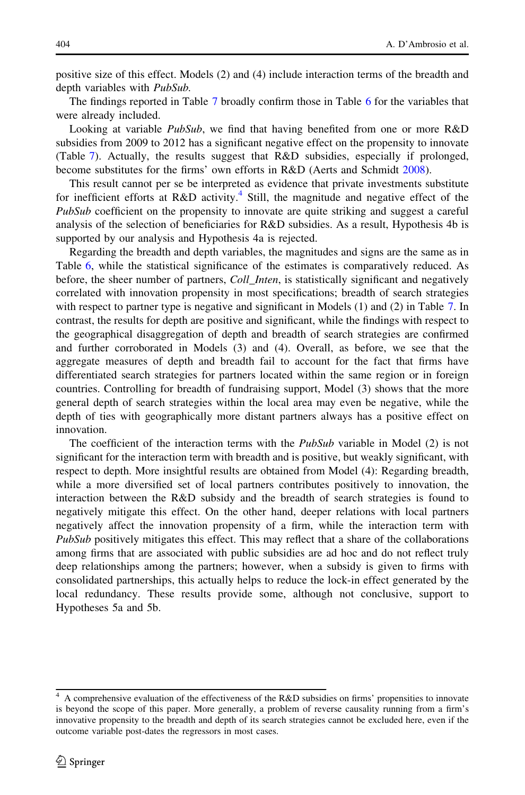positive size of this effect. Models (2) and (4) include interaction terms of the breadth and depth variables with *PubSub*.

The findings reported in Table 7 broadly confirm those in Table 6 for the variables that were already included.

Looking at variable *PubSub*, we find that having benefited from one or more R&D subsidies from 2009 to 2012 has a significant negative effect on the propensity to innovate (Table 7). Actually, the results suggest that R&D subsidies, especially if prolonged, become substitutes for the firms' own efforts in R&D (Aerts and Schmidt 2008).

This result cannot per se be interpreted as evidence that private investments substitute for inefficient efforts at R&D activity.<sup>4</sup> Still, the magnitude and negative effect of the PubSub coefficient on the propensity to innovate are quite striking and suggest a careful analysis of the selection of beneficiaries for R&D subsidies. As a result, Hypothesis 4b is supported by our analysis and Hypothesis 4a is rejected.

Regarding the breadth and depth variables, the magnitudes and signs are the same as in Table 6, while the statistical significance of the estimates is comparatively reduced. As before, the sheer number of partners, *Coll\_Inten*, is statistically significant and negatively correlated with innovation propensity in most specifications; breadth of search strategies with respect to partner type is negative and significant in Models (1) and (2) in Table 7. In contrast, the results for depth are positive and significant, while the findings with respect to the geographical disaggregation of depth and breadth of search strategies are confirmed and further corroborated in Models (3) and (4). Overall, as before, we see that the aggregate measures of depth and breadth fail to account for the fact that firms have differentiated search strategies for partners located within the same region or in foreign countries. Controlling for breadth of fundraising support, Model (3) shows that the more general depth of search strategies within the local area may even be negative, while the depth of ties with geographically more distant partners always has a positive effect on innovation.

The coefficient of the interaction terms with the *PubSub* variable in Model (2) is not significant for the interaction term with breadth and is positive, but weakly significant, with respect to depth. More insightful results are obtained from Model (4): Regarding breadth, while a more diversified set of local partners contributes positively to innovation, the interaction between the R&D subsidy and the breadth of search strategies is found to negatively mitigate this effect. On the other hand, deeper relations with local partners negatively affect the innovation propensity of a firm, while the interaction term with PubSub positively mitigates this effect. This may reflect that a share of the collaborations among firms that are associated with public subsidies are ad hoc and do not reflect truly deep relationships among the partners; however, when a subsidy is given to firms with consolidated partnerships, this actually helps to reduce the lock-in effect generated by the local redundancy. These results provide some, although not conclusive, support to Hypotheses 5a and 5b.

<sup>&</sup>lt;sup>4</sup> A comprehensive evaluation of the effectiveness of the R&D subsidies on firms' propensities to innovate is beyond the scope of this paper. More generally, a problem of reverse causality running from a firm's innovative propensity to the breadth and depth of its search strategies cannot be excluded here, even if the outcome variable post-dates the regressors in most cases.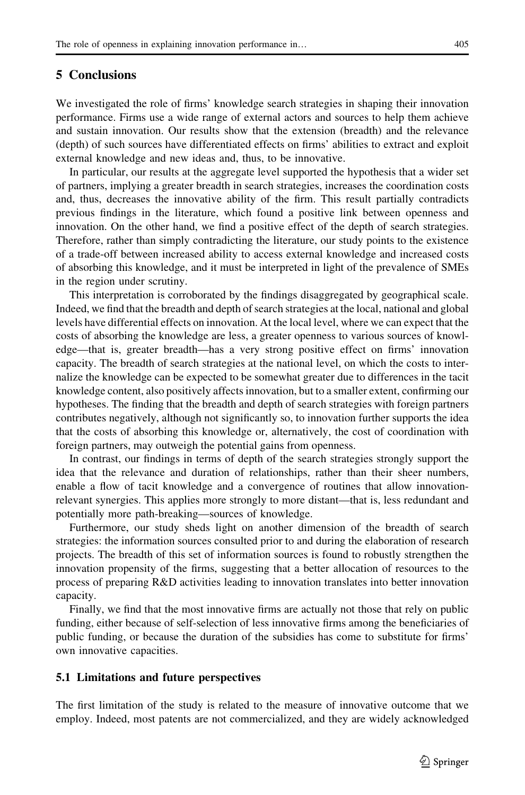#### 5 Conclusions

We investigated the role of firms' knowledge search strategies in shaping their innovation performance. Firms use a wide range of external actors and sources to help them achieve and sustain innovation. Our results show that the extension (breadth) and the relevance (depth) of such sources have differentiated effects on firms' abilities to extract and exploit external knowledge and new ideas and, thus, to be innovative.

In particular, our results at the aggregate level supported the hypothesis that a wider set of partners, implying a greater breadth in search strategies, increases the coordination costs and, thus, decreases the innovative ability of the firm. This result partially contradicts previous findings in the literature, which found a positive link between openness and innovation. On the other hand, we find a positive effect of the depth of search strategies. Therefore, rather than simply contradicting the literature, our study points to the existence of a trade-off between increased ability to access external knowledge and increased costs of absorbing this knowledge, and it must be interpreted in light of the prevalence of SMEs in the region under scrutiny.

This interpretation is corroborated by the findings disaggregated by geographical scale. Indeed, we find that the breadth and depth of search strategies at the local, national and global levels have differential effects on innovation. At the local level, where we can expect that the costs of absorbing the knowledge are less, a greater openness to various sources of knowledge—that is, greater breadth—has a very strong positive effect on firms' innovation capacity. The breadth of search strategies at the national level, on which the costs to internalize the knowledge can be expected to be somewhat greater due to differences in the tacit knowledge content, also positively affects innovation, but to a smaller extent, confirming our hypotheses. The finding that the breadth and depth of search strategies with foreign partners contributes negatively, although not significantly so, to innovation further supports the idea that the costs of absorbing this knowledge or, alternatively, the cost of coordination with foreign partners, may outweigh the potential gains from openness.

In contrast, our findings in terms of depth of the search strategies strongly support the idea that the relevance and duration of relationships, rather than their sheer numbers, enable a flow of tacit knowledge and a convergence of routines that allow innovationrelevant synergies. This applies more strongly to more distant—that is, less redundant and potentially more path-breaking—sources of knowledge.

Furthermore, our study sheds light on another dimension of the breadth of search strategies: the information sources consulted prior to and during the elaboration of research projects. The breadth of this set of information sources is found to robustly strengthen the innovation propensity of the firms, suggesting that a better allocation of resources to the process of preparing R&D activities leading to innovation translates into better innovation capacity.

Finally, we find that the most innovative firms are actually not those that rely on public funding, either because of self-selection of less innovative firms among the beneficiaries of public funding, or because the duration of the subsidies has come to substitute for firms' own innovative capacities.

#### 5.1 Limitations and future perspectives

The first limitation of the study is related to the measure of innovative outcome that we employ. Indeed, most patents are not commercialized, and they are widely acknowledged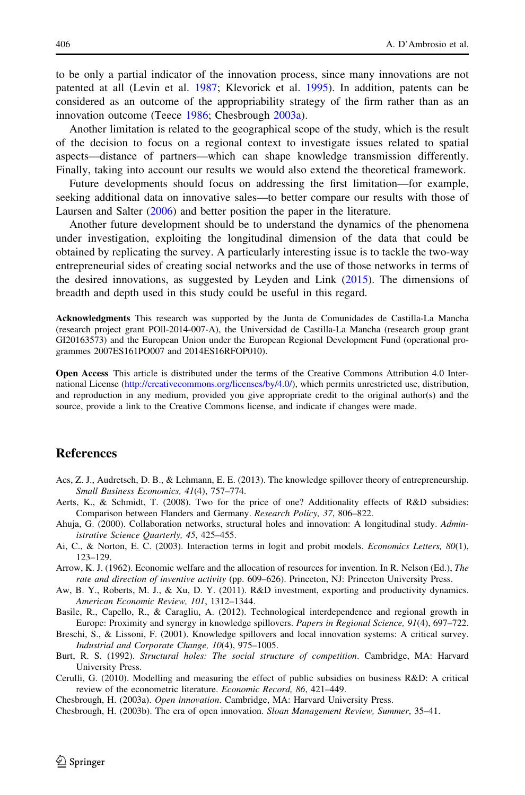to be only a partial indicator of the innovation process, since many innovations are not patented at all (Levin et al. 1987; Klevorick et al. 1995). In addition, patents can be considered as an outcome of the appropriability strategy of the firm rather than as an innovation outcome (Teece 1986; Chesbrough 2003a).

Another limitation is related to the geographical scope of the study, which is the result of the decision to focus on a regional context to investigate issues related to spatial aspects—distance of partners—which can shape knowledge transmission differently. Finally, taking into account our results we would also extend the theoretical framework.

Future developments should focus on addressing the first limitation—for example, seeking additional data on innovative sales—to better compare our results with those of Laursen and Salter (2006) and better position the paper in the literature.

Another future development should be to understand the dynamics of the phenomena under investigation, exploiting the longitudinal dimension of the data that could be obtained by replicating the survey. A particularly interesting issue is to tackle the two-way entrepreneurial sides of creating social networks and the use of those networks in terms of the desired innovations, as suggested by Leyden and Link (2015). The dimensions of breadth and depth used in this study could be useful in this regard.

Acknowledgments This research was supported by the Junta de Comunidades de Castilla-La Mancha (research project grant POll-2014-007-A), the Universidad de Castilla-La Mancha (research group grant GI20163573) and the European Union under the European Regional Development Fund (operational programmes 2007ES161PO007 and 2014ES16RFOP010).

Open Access This article is distributed under the terms of the Creative Commons Attribution 4.0 International License [\(http://creativecommons.org/licenses/by/4.0/\)](http://creativecommons.org/licenses/by/4.0/), which permits unrestricted use, distribution, and reproduction in any medium, provided you give appropriate credit to the original author(s) and the source, provide a link to the Creative Commons license, and indicate if changes were made.

## References

- Acs, Z. J., Audretsch, D. B., & Lehmann, E. E. (2013). The knowledge spillover theory of entrepreneurship. Small Business Economics, 41(4), 757–774.
- Aerts, K., & Schmidt, T. (2008). Two for the price of one? Additionality effects of R&D subsidies: Comparison between Flanders and Germany. Research Policy, 37, 806–822.
- Ahuja, G. (2000). Collaboration networks, structural holes and innovation: A longitudinal study. Administrative Science Quarterly, 45, 425–455.
- Ai, C., & Norton, E. C. (2003). Interaction terms in logit and probit models. Economics Letters, 80(1), 123–129.
- Arrow, K. J. (1962). Economic welfare and the allocation of resources for invention. In R. Nelson (Ed.), The rate and direction of inventive activity (pp. 609–626). Princeton, NJ: Princeton University Press.
- Aw, B. Y., Roberts, M. J., & Xu, D. Y. (2011). R&D investment, exporting and productivity dynamics. American Economic Review, 101, 1312–1344.
- Basile, R., Capello, R., & Caragliu, A. (2012). Technological interdependence and regional growth in Europe: Proximity and synergy in knowledge spillovers. Papers in Regional Science, 91(4), 697–722.
- Breschi, S., & Lissoni, F. (2001). Knowledge spillovers and local innovation systems: A critical survey. Industrial and Corporate Change, 10(4), 975–1005.
- Burt, R. S. (1992). Structural holes: The social structure of competition. Cambridge, MA: Harvard University Press.
- Cerulli, G. (2010). Modelling and measuring the effect of public subsidies on business R&D: A critical review of the econometric literature. Economic Record, 86, 421–449.

Chesbrough, H. (2003a). Open innovation. Cambridge, MA: Harvard University Press.

Chesbrough, H. (2003b). The era of open innovation. Sloan Management Review, Summer, 35–41.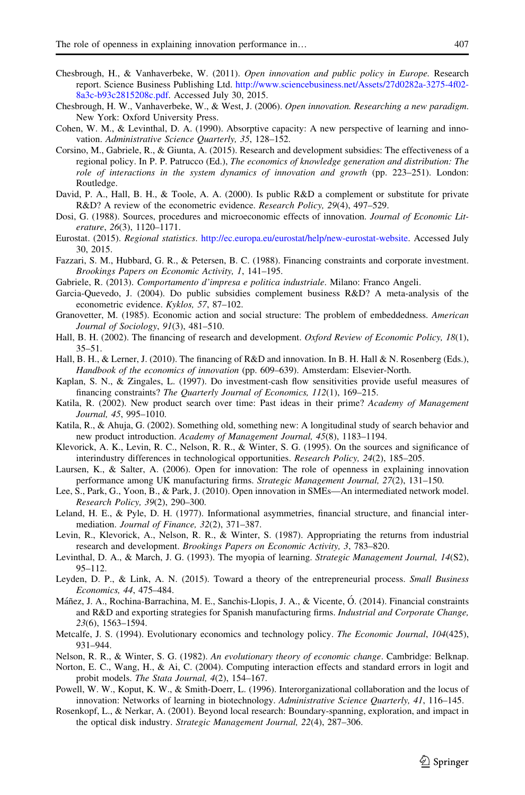- Chesbrough, H., & Vanhaverbeke, W. (2011). Open innovation and public policy in Europe. Research report. Science Business Publishing Ltd. [http://www.sciencebusiness.net/Assets/27d0282a-3275-4f02-](http://www.sciencebusiness.net/Assets/27d0282a-3275-4f02-8a3c-b93c2815208c.pdf) [8a3c-b93c2815208c.pdf.](http://www.sciencebusiness.net/Assets/27d0282a-3275-4f02-8a3c-b93c2815208c.pdf) Accessed July 30, 2015.
- Chesbrough, H. W., Vanhaverbeke, W., & West, J. (2006). Open innovation. Researching a new paradigm. New York: Oxford University Press.
- Cohen, W. M., & Levinthal, D. A. (1990). Absorptive capacity: A new perspective of learning and innovation. Administrative Science Quarterly, 35, 128–152.
- Corsino, M., Gabriele, R., & Giunta, A. (2015). Research and development subsidies: The effectiveness of a regional policy. In P. P. Patrucco (Ed.), The economics of knowledge generation and distribution: The role of interactions in the system dynamics of innovation and growth (pp. 223–251). London: Routledge.
- David, P. A., Hall, B. H., & Toole, A. A. (2000). Is public R&D a complement or substitute for private R&D? A review of the econometric evidence. *Research Policy*, 29(4), 497–529.
- Dosi, G. (1988). Sources, procedures and microeconomic effects of innovation. Journal of Economic Literature, 26(3), 1120–1171.
- Eurostat. (2015). Regional statistics. [http://ec.europa.eu/eurostat/help/new-eurostat-website.](http://ec.europa.eu/eurostat/help/new-eurostat-website) Accessed July 30, 2015.
- Fazzari, S. M., Hubbard, G. R., & Petersen, B. C. (1988). Financing constraints and corporate investment. Brookings Papers on Economic Activity, 1, 141–195.
- Gabriele, R. (2013). Comportamento d'impresa e politica industriale. Milano: Franco Angeli.
- Garcia-Quevedo, J. (2004). Do public subsidies complement business R&D? A meta-analysis of the econometric evidence. Kyklos, 57, 87–102.
- Granovetter, M. (1985). Economic action and social structure: The problem of embeddedness. American Journal of Sociology, 91(3), 481–510.
- Hall, B. H. (2002). The financing of research and development. Oxford Review of Economic Policy, 18(1), 35–51.
- Hall, B. H., & Lerner, J. (2010). The financing of R&D and innovation. In B. H. Hall & N. Rosenberg (Eds.), Handbook of the economics of innovation (pp. 609–639). Amsterdam: Elsevier-North.
- Kaplan, S. N., & Zingales, L. (1997). Do investment-cash flow sensitivities provide useful measures of financing constraints? The Quarterly Journal of Economics, 112(1), 169–215.
- Katila, R. (2002). New product search over time: Past ideas in their prime? Academy of Management Journal, 45, 995–1010.
- Katila, R., & Ahuja, G. (2002). Something old, something new: A longitudinal study of search behavior and new product introduction. Academy of Management Journal, 45(8), 1183–1194.
- Klevorick, A. K., Levin, R. C., Nelson, R. R., & Winter, S. G. (1995). On the sources and significance of interindustry differences in technological opportunities. Research Policy, 24(2), 185–205.
- Laursen, K., & Salter, A. (2006). Open for innovation: The role of openness in explaining innovation performance among UK manufacturing firms. Strategic Management Journal, 27(2), 131–150.
- Lee, S., Park, G., Yoon, B., & Park, J. (2010). Open innovation in SMEs—An intermediated network model. Research Policy, 39(2), 290–300.
- Leland, H. E., & Pyle, D. H. (1977). Informational asymmetries, financial structure, and financial intermediation. Journal of Finance, 32(2), 371–387.
- Levin, R., Klevorick, A., Nelson, R. R., & Winter, S. (1987). Appropriating the returns from industrial research and development. Brookings Papers on Economic Activity, 3, 783–820.
- Levinthal, D. A., & March, J. G. (1993). The myopia of learning. Strategic Management Journal, 14(S2), 95–112.
- Leyden, D. P., & Link, A. N. (2015). Toward a theory of the entrepreneurial process. Small Business Economics, 44, 475–484.
- Máñez, J. A., Rochina-Barrachina, M. E., Sanchis-Llopis, J. A., & Vicente, Ó. (2014). Financial constraints and R&D and exporting strategies for Spanish manufacturing firms. Industrial and Corporate Change, 23(6), 1563–1594.
- Metcalfe, J. S. (1994). Evolutionary economics and technology policy. The Economic Journal, 104(425), 931–944.
- Nelson, R. R., & Winter, S. G. (1982). An evolutionary theory of economic change. Cambridge: Belknap.
- Norton, E. C., Wang, H., & Ai, C. (2004). Computing interaction effects and standard errors in logit and probit models. The Stata Journal, 4(2), 154–167.
- Powell, W. W., Koput, K. W., & Smith-Doerr, L. (1996). Interorganizational collaboration and the locus of innovation: Networks of learning in biotechnology. Administrative Science Quarterly, 41, 116–145.
- Rosenkopf, L., & Nerkar, A. (2001). Beyond local research: Boundary-spanning, exploration, and impact in the optical disk industry. Strategic Management Journal, 22(4), 287–306.